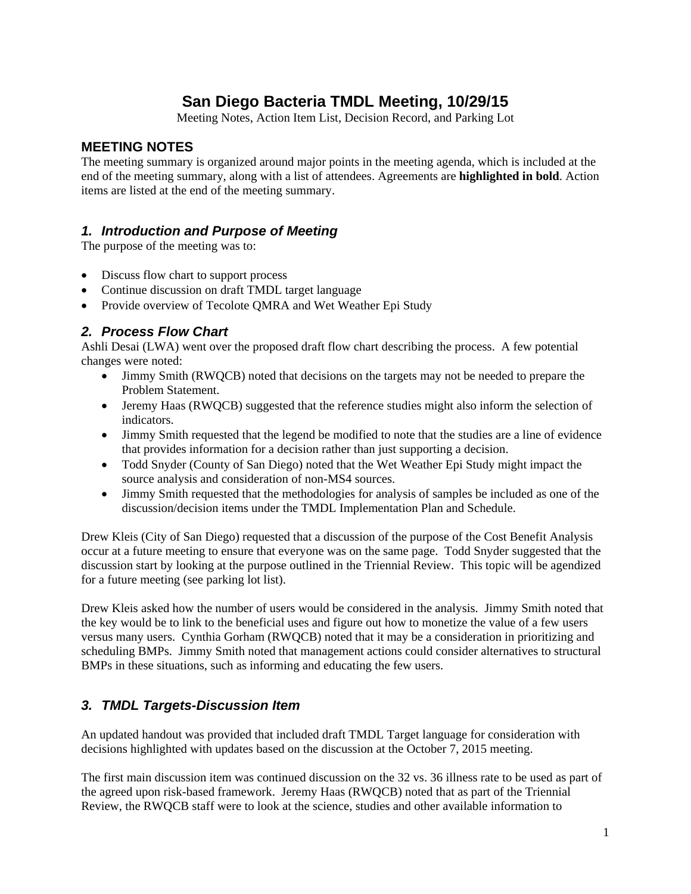## **San Diego Bacteria TMDL Meeting, 10/29/15**

Meeting Notes, Action Item List, Decision Record, and Parking Lot

#### **MEETING NOTES**

The meeting summary is organized around major points in the meeting agenda, which is included at the end of the meeting summary, along with a list of attendees. Agreements are **highlighted in bold**. Action items are listed at the end of the meeting summary.

#### *1. Introduction and Purpose of Meeting*

The purpose of the meeting was to:

- Discuss flow chart to support process
- Continue discussion on draft TMDL target language
- Provide overview of Tecolote QMRA and Wet Weather Epi Study

#### *2. Process Flow Chart*

Ashli Desai (LWA) went over the proposed draft flow chart describing the process. A few potential changes were noted:

- Jimmy Smith (RWQCB) noted that decisions on the targets may not be needed to prepare the Problem Statement.
- Jeremy Haas (RWQCB) suggested that the reference studies might also inform the selection of indicators.
- Jimmy Smith requested that the legend be modified to note that the studies are a line of evidence that provides information for a decision rather than just supporting a decision.
- Todd Snyder (County of San Diego) noted that the Wet Weather Epi Study might impact the source analysis and consideration of non-MS4 sources.
- Jimmy Smith requested that the methodologies for analysis of samples be included as one of the discussion/decision items under the TMDL Implementation Plan and Schedule.

Drew Kleis (City of San Diego) requested that a discussion of the purpose of the Cost Benefit Analysis occur at a future meeting to ensure that everyone was on the same page. Todd Snyder suggested that the discussion start by looking at the purpose outlined in the Triennial Review. This topic will be agendized for a future meeting (see parking lot list).

Drew Kleis asked how the number of users would be considered in the analysis. Jimmy Smith noted that the key would be to link to the beneficial uses and figure out how to monetize the value of a few users versus many users. Cynthia Gorham (RWQCB) noted that it may be a consideration in prioritizing and scheduling BMPs. Jimmy Smith noted that management actions could consider alternatives to structural BMPs in these situations, such as informing and educating the few users.

#### *3. TMDL Targets-Discussion Item*

An updated handout was provided that included draft TMDL Target language for consideration with decisions highlighted with updates based on the discussion at the October 7, 2015 meeting.

The first main discussion item was continued discussion on the 32 vs. 36 illness rate to be used as part of the agreed upon risk-based framework. Jeremy Haas (RWQCB) noted that as part of the Triennial Review, the RWQCB staff were to look at the science, studies and other available information to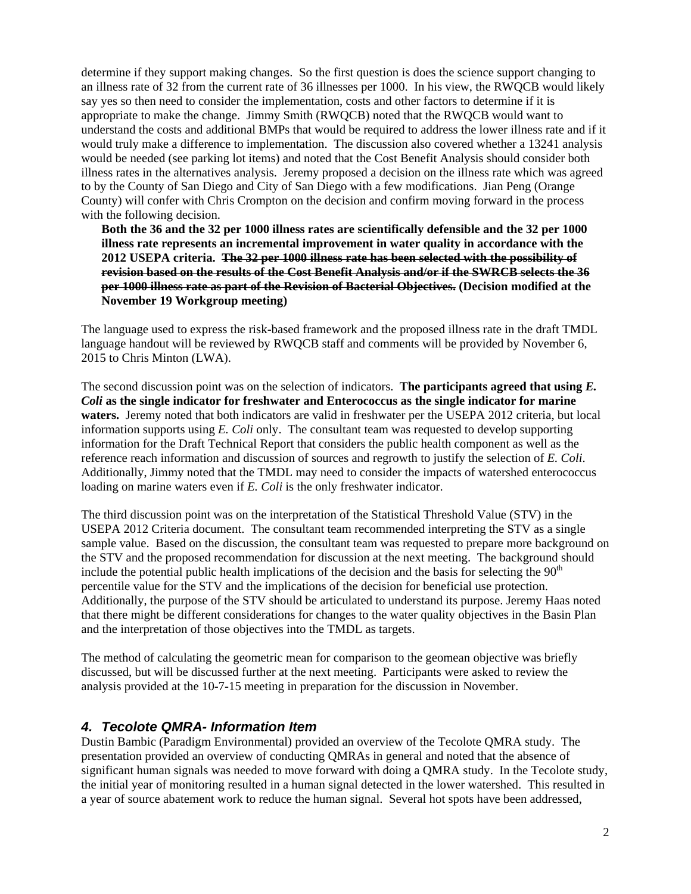determine if they support making changes. So the first question is does the science support changing to an illness rate of 32 from the current rate of 36 illnesses per 1000. In his view, the RWQCB would likely say yes so then need to consider the implementation, costs and other factors to determine if it is appropriate to make the change. Jimmy Smith (RWQCB) noted that the RWQCB would want to understand the costs and additional BMPs that would be required to address the lower illness rate and if it would truly make a difference to implementation. The discussion also covered whether a 13241 analysis would be needed (see parking lot items) and noted that the Cost Benefit Analysis should consider both illness rates in the alternatives analysis. Jeremy proposed a decision on the illness rate which was agreed to by the County of San Diego and City of San Diego with a few modifications. Jian Peng (Orange County) will confer with Chris Crompton on the decision and confirm moving forward in the process with the following decision.

**Both the 36 and the 32 per 1000 illness rates are scientifically defensible and the 32 per 1000 illness rate represents an incremental improvement in water quality in accordance with the 2012 USEPA criteria. The 32 per 1000 illness rate has been selected with the possibility of revision based on the results of the Cost Benefit Analysis and/or if the SWRCB selects the 36 per 1000 illness rate as part of the Revision of Bacterial Objectives. (Decision modified at the November 19 Workgroup meeting)** 

The language used to express the risk-based framework and the proposed illness rate in the draft TMDL language handout will be reviewed by RWQCB staff and comments will be provided by November 6, 2015 to Chris Minton (LWA).

The second discussion point was on the selection of indicators. **The participants agreed that using** *E. Coli* **as the single indicator for freshwater and Enterococcus as the single indicator for marine waters.** Jeremy noted that both indicators are valid in freshwater per the USEPA 2012 criteria, but local information supports using *E. Coli* only. The consultant team was requested to develop supporting information for the Draft Technical Report that considers the public health component as well as the reference reach information and discussion of sources and regrowth to justify the selection of *E. Coli*. Additionally, Jimmy noted that the TMDL may need to consider the impacts of watershed enterococcus loading on marine waters even if *E. Coli* is the only freshwater indicator.

The third discussion point was on the interpretation of the Statistical Threshold Value (STV) in the USEPA 2012 Criteria document. The consultant team recommended interpreting the STV as a single sample value. Based on the discussion, the consultant team was requested to prepare more background on the STV and the proposed recommendation for discussion at the next meeting. The background should include the potential public health implications of the decision and the basis for selecting the  $90<sup>th</sup>$ percentile value for the STV and the implications of the decision for beneficial use protection. Additionally, the purpose of the STV should be articulated to understand its purpose. Jeremy Haas noted that there might be different considerations for changes to the water quality objectives in the Basin Plan and the interpretation of those objectives into the TMDL as targets.

The method of calculating the geometric mean for comparison to the geomean objective was briefly discussed, but will be discussed further at the next meeting. Participants were asked to review the analysis provided at the 10-7-15 meeting in preparation for the discussion in November.

#### *4. Tecolote QMRA- Information Item*

Dustin Bambic (Paradigm Environmental) provided an overview of the Tecolote QMRA study. The presentation provided an overview of conducting QMRAs in general and noted that the absence of significant human signals was needed to move forward with doing a QMRA study. In the Tecolote study, the initial year of monitoring resulted in a human signal detected in the lower watershed. This resulted in a year of source abatement work to reduce the human signal. Several hot spots have been addressed,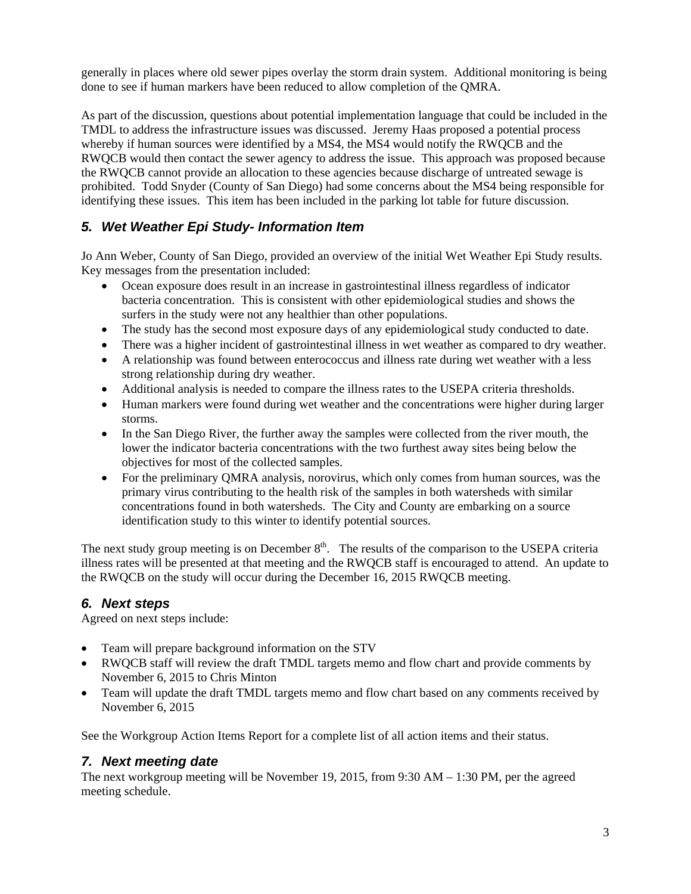generally in places where old sewer pipes overlay the storm drain system. Additional monitoring is being done to see if human markers have been reduced to allow completion of the QMRA.

As part of the discussion, questions about potential implementation language that could be included in the TMDL to address the infrastructure issues was discussed. Jeremy Haas proposed a potential process whereby if human sources were identified by a MS4, the MS4 would notify the RWQCB and the RWQCB would then contact the sewer agency to address the issue. This approach was proposed because the RWQCB cannot provide an allocation to these agencies because discharge of untreated sewage is prohibited. Todd Snyder (County of San Diego) had some concerns about the MS4 being responsible for identifying these issues. This item has been included in the parking lot table for future discussion.

### *5. Wet Weather Epi Study- Information Item*

Jo Ann Weber, County of San Diego, provided an overview of the initial Wet Weather Epi Study results. Key messages from the presentation included:

- Ocean exposure does result in an increase in gastrointestinal illness regardless of indicator bacteria concentration. This is consistent with other epidemiological studies and shows the surfers in the study were not any healthier than other populations.
- The study has the second most exposure days of any epidemiological study conducted to date.
- There was a higher incident of gastrointestinal illness in wet weather as compared to dry weather.
- A relationship was found between enterococcus and illness rate during wet weather with a less strong relationship during dry weather.
- Additional analysis is needed to compare the illness rates to the USEPA criteria thresholds.
- Human markers were found during wet weather and the concentrations were higher during larger storms.
- In the San Diego River, the further away the samples were collected from the river mouth, the lower the indicator bacteria concentrations with the two furthest away sites being below the objectives for most of the collected samples.
- For the preliminary QMRA analysis, norovirus, which only comes from human sources, was the primary virus contributing to the health risk of the samples in both watersheds with similar concentrations found in both watersheds. The City and County are embarking on a source identification study to this winter to identify potential sources.

The next study group meeting is on December  $8<sup>th</sup>$ . The results of the comparison to the USEPA criteria illness rates will be presented at that meeting and the RWQCB staff is encouraged to attend. An update to the RWQCB on the study will occur during the December 16, 2015 RWQCB meeting.

#### *6. Next steps*

Agreed on next steps include:

- Team will prepare background information on the STV
- RWQCB staff will review the draft TMDL targets memo and flow chart and provide comments by November 6, 2015 to Chris Minton
- Team will update the draft TMDL targets memo and flow chart based on any comments received by November 6, 2015

See the Workgroup Action Items Report for a complete list of all action items and their status.

#### *7. Next meeting date*

The next workgroup meeting will be November 19, 2015, from 9:30 AM – 1:30 PM, per the agreed meeting schedule.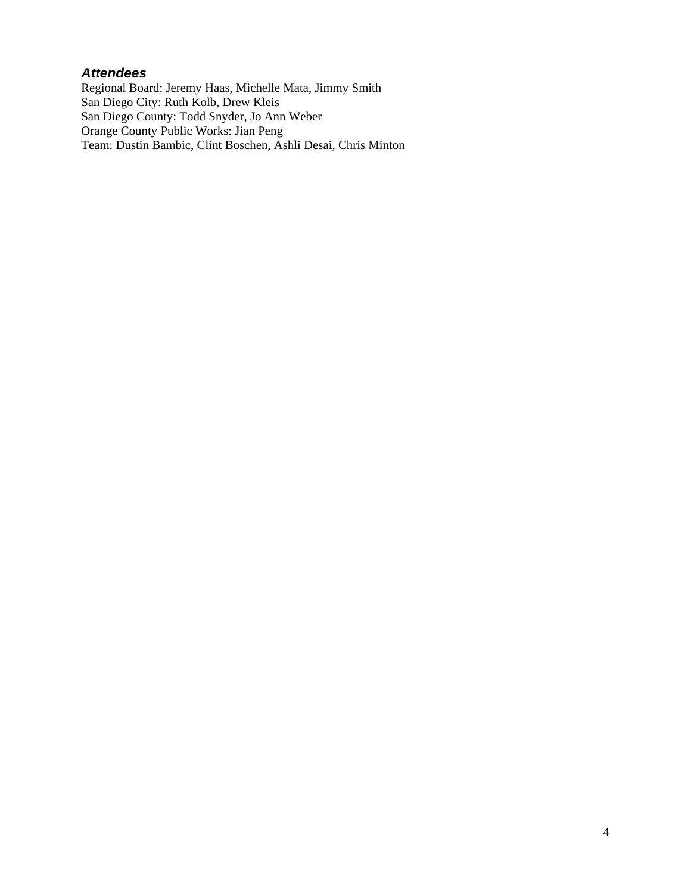#### *Attendees*

Regional Board: Jeremy Haas, Michelle Mata, Jimmy Smith San Diego City: Ruth Kolb, Drew Kleis San Diego County: Todd Snyder, Jo Ann Weber Orange County Public Works: Jian Peng Team: Dustin Bambic, Clint Boschen, Ashli Desai, Chris Minton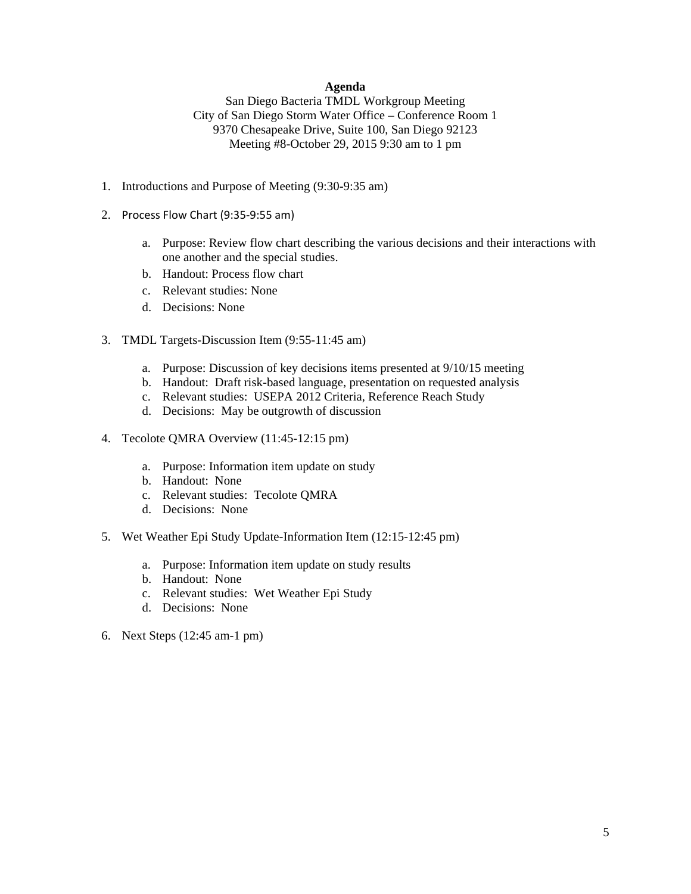#### **Agenda**

San Diego Bacteria TMDL Workgroup Meeting City of San Diego Storm Water Office – Conference Room 1 9370 Chesapeake Drive, Suite 100, San Diego 92123 Meeting #8-October 29, 2015 9:30 am to 1 pm

- 1. Introductions and Purpose of Meeting (9:30-9:35 am)
- 2. Process Flow Chart (9:35‐9:55 am)
	- a. Purpose: Review flow chart describing the various decisions and their interactions with one another and the special studies.
	- b. Handout: Process flow chart
	- c. Relevant studies: None
	- d. Decisions: None
- 3. TMDL Targets-Discussion Item (9:55-11:45 am)
	- a. Purpose: Discussion of key decisions items presented at 9/10/15 meeting
	- b. Handout: Draft risk-based language, presentation on requested analysis
	- c. Relevant studies: USEPA 2012 Criteria, Reference Reach Study
	- d. Decisions: May be outgrowth of discussion
- 4. Tecolote QMRA Overview (11:45-12:15 pm)
	- a. Purpose: Information item update on study
	- b. Handout: None
	- c. Relevant studies: Tecolote QMRA
	- d. Decisions: None
- 5. Wet Weather Epi Study Update-Information Item (12:15-12:45 pm)
	- a. Purpose: Information item update on study results
	- b. Handout: None
	- c. Relevant studies: Wet Weather Epi Study
	- d. Decisions: None
- 6. Next Steps (12:45 am-1 pm)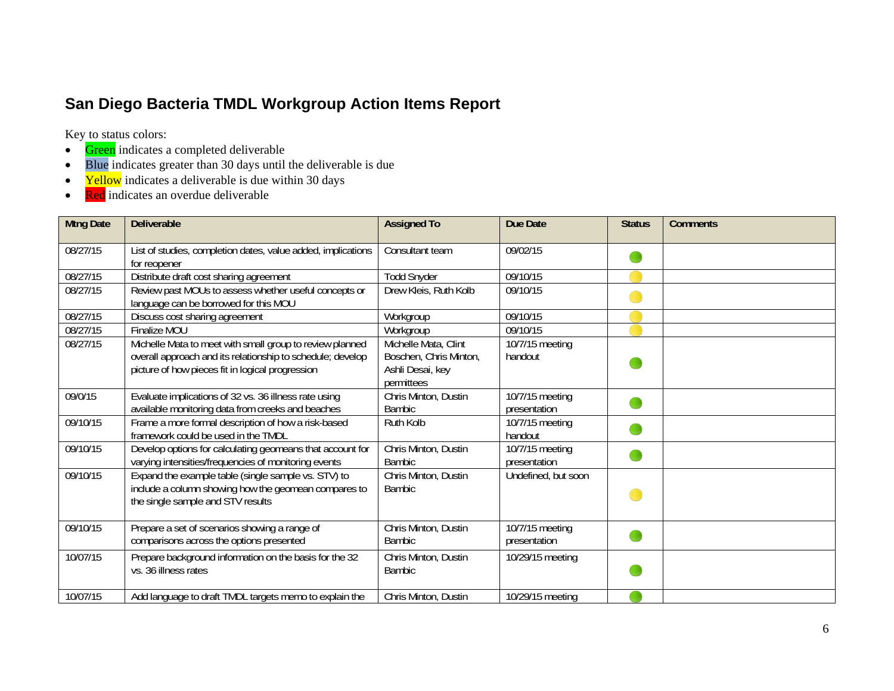## **San Diego Bacteria TMDL Workgroup Action Items Report**

Key to status colors:

- $\bullet$ Green indicates a completed deliverable
- Blue indicates greater than 30 days until the deliverable is due
- $\bullet$ Yellow indicates a deliverable is due within 30 days
- $\bullet$ Red indicates an overdue deliverable

| <b>Mtng Date</b> | <b>Deliverable</b>                                                                                                                                                         | <b>Assigned To</b>                                                               | <b>Due Date</b>                 | <b>Status</b> | <b>Comments</b> |
|------------------|----------------------------------------------------------------------------------------------------------------------------------------------------------------------------|----------------------------------------------------------------------------------|---------------------------------|---------------|-----------------|
| 08/27/15         | List of studies, completion dates, value added, implications<br>for reopener                                                                                               | Consultant team                                                                  | 09/02/15                        |               |                 |
| 08/27/15         | Distribute draft cost sharing agreement                                                                                                                                    | <b>Todd Snyder</b>                                                               | 09/10/15                        |               |                 |
| 08/27/15         | Review past MOUs to assess whether useful concepts or<br>language can be borrowed for this MOU                                                                             | Drew Kleis, Ruth Kolb                                                            | 09/10/15                        |               |                 |
| 08/27/15         | Discuss cost sharing agreement                                                                                                                                             | Workgroup                                                                        | 09/10/15                        |               |                 |
| 08/27/15         | Finalize MOU                                                                                                                                                               | Workgroup                                                                        | 09/10/15                        |               |                 |
| 08/27/15         | Michelle Mata to meet with small group to review planned<br>overall approach and its relationship to schedule; develop<br>picture of how pieces fit in logical progression | Michelle Mata, Clint<br>Boschen, Chris Minton,<br>Ashli Desai, key<br>permittees | 10/7/15 meeting<br>handout      |               |                 |
| 09/0/15          | Evaluate implications of 32 vs. 36 illness rate using<br>available monitoring data from creeks and beaches                                                                 | Chris Minton, Dustin<br><b>Bambic</b>                                            | 10/7/15 meeting<br>presentation |               |                 |
| 09/10/15         | Frame a more formal description of how a risk-based<br>framework could be used in the TMDL                                                                                 | Ruth Kolb                                                                        | 10/7/15 meeting<br>handout      |               |                 |
| 09/10/15         | Develop options for calculating geomeans that account for<br>varying intensities/frequencies of monitoring events                                                          | Chris Minton, Dustin<br><b>Bambic</b>                                            | 10/7/15 meeting<br>presentation |               |                 |
| 09/10/15         | Expand the example table (single sample vs. STV) to<br>include a column showing how the geomean compares to<br>the single sample and STV results                           | Chris Minton, Dustin<br><b>Bambic</b>                                            | Undefined, but soon             |               |                 |
| 09/10/15         | Prepare a set of scenarios showing a range of<br>comparisons across the options presented                                                                                  | Chris Minton, Dustin<br><b>Bambic</b>                                            | 10/7/15 meeting<br>presentation |               |                 |
| 10/07/15         | Prepare background information on the basis for the 32<br>vs. 36 illness rates                                                                                             | Chris Minton, Dustin<br><b>Bambic</b>                                            | 10/29/15 meeting                |               |                 |
| 10/07/15         | Add language to draft TMDL targets memo to explain the                                                                                                                     | Chris Minton, Dustin                                                             | 10/29/15 meeting                |               |                 |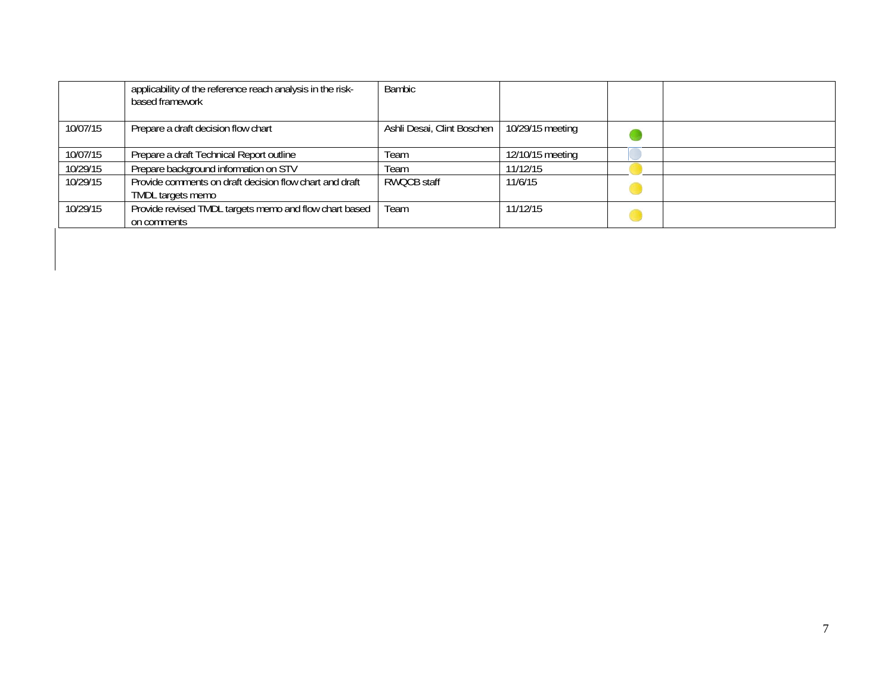|          | applicability of the reference reach analysis in the risk-<br>based framework | <b>Bambic</b>              |                  |  |
|----------|-------------------------------------------------------------------------------|----------------------------|------------------|--|
| 10/07/15 | Prepare a draft decision flow chart                                           | Ashli Desai, Clint Boschen | 10/29/15 meeting |  |
| 10/07/15 | Prepare a draft Technical Report outline                                      | Team                       | 12/10/15 meeting |  |
| 10/29/15 | Prepare background information on STV                                         | Team                       | 11/12/15         |  |
| 10/29/15 | Provide comments on draft decision flow chart and draft<br>TMDL targets memo  | RWOCB staff                | 11/6/15          |  |
| 10/29/15 | Provide revised TMDL targets memo and flow chart based<br>on comments         | Team                       | 11/12/15         |  |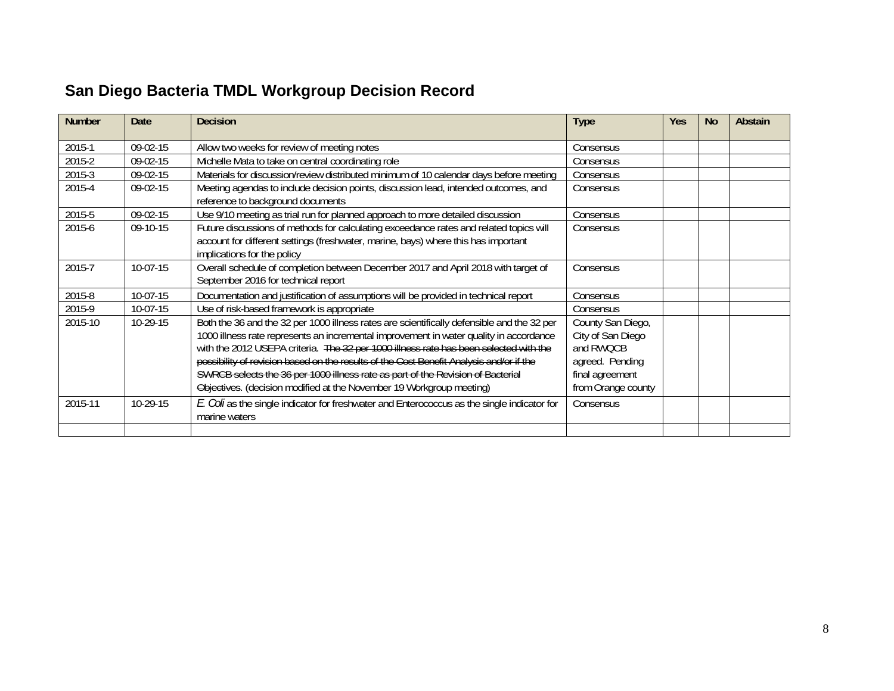## **San Diego Bacteria TMDL Workgroup Decision Record**

| <b>Number</b> | Date       | <b>Decision</b>                                                                                                                                                                                                                                                                                                                                                                                                                                                                                                                     | <b>Type</b>                                                                                                     | Yes | <b>No</b> | Abstain |
|---------------|------------|-------------------------------------------------------------------------------------------------------------------------------------------------------------------------------------------------------------------------------------------------------------------------------------------------------------------------------------------------------------------------------------------------------------------------------------------------------------------------------------------------------------------------------------|-----------------------------------------------------------------------------------------------------------------|-----|-----------|---------|
| 2015-1        | 09-02-15   | Allow two weeks for review of meeting notes                                                                                                                                                                                                                                                                                                                                                                                                                                                                                         | Consensus                                                                                                       |     |           |         |
| 2015-2        | 09-02-15   | Michelle Mata to take on central coordinating role                                                                                                                                                                                                                                                                                                                                                                                                                                                                                  | Consensus                                                                                                       |     |           |         |
| 2015-3        | 09-02-15   | Materials for discussion/review distributed minimum of 10 calendar days before meeting                                                                                                                                                                                                                                                                                                                                                                                                                                              | Consensus                                                                                                       |     |           |         |
| 2015-4        | 09-02-15   | Meeting agendas to include decision points, discussion lead, intended outcomes, and<br>reference to background documents                                                                                                                                                                                                                                                                                                                                                                                                            | Consensus                                                                                                       |     |           |         |
| 2015-5        | 09-02-15   | Use 9/10 meeting as trial run for planned approach to more detailed discussion                                                                                                                                                                                                                                                                                                                                                                                                                                                      | Consensus                                                                                                       |     |           |         |
| 2015-6        | $09-10-15$ | Future discussions of methods for calculating exceedance rates and related topics will<br>account for different settings (freshwater, marine, bays) where this has important<br>implications for the policy                                                                                                                                                                                                                                                                                                                         | Consensus                                                                                                       |     |           |         |
| 2015-7        | 10-07-15   | Overall schedule of completion between December 2017 and April 2018 with target of<br>September 2016 for technical report                                                                                                                                                                                                                                                                                                                                                                                                           | Consensus                                                                                                       |     |           |         |
| 2015-8        | 10-07-15   | Documentation and justification of assumptions will be provided in technical report                                                                                                                                                                                                                                                                                                                                                                                                                                                 | Consensus                                                                                                       |     |           |         |
| 2015-9        | $10-07-15$ | Use of risk-based framework is appropriate                                                                                                                                                                                                                                                                                                                                                                                                                                                                                          | Consensus                                                                                                       |     |           |         |
| 2015-10       | 10-29-15   | Both the 36 and the 32 per 1000 illness rates are scientifically defensible and the 32 per<br>1000 illness rate represents an incremental improvement in water quality in accordance<br>with the 2012 USEPA criteria. The 32 per 1000 illness rate has been selected with the<br>possibility of revision based on the results of the Cost Benefit Analysis and/or if the<br>SWRCB selects the 36 per 1000 illness rate as part of the Revision of Bacterial<br>Objectives. (decision modified at the November 19 Workgroup meeting) | County San Diego,<br>City of San Diego<br>and RWQCB<br>agreed. Pending<br>final agreement<br>from Orange county |     |           |         |
| 2015-11       | $10-29-15$ | E. Coli as the single indicator for freshwater and Enterococcus as the single indicator for<br>marine waters                                                                                                                                                                                                                                                                                                                                                                                                                        | Consensus                                                                                                       |     |           |         |